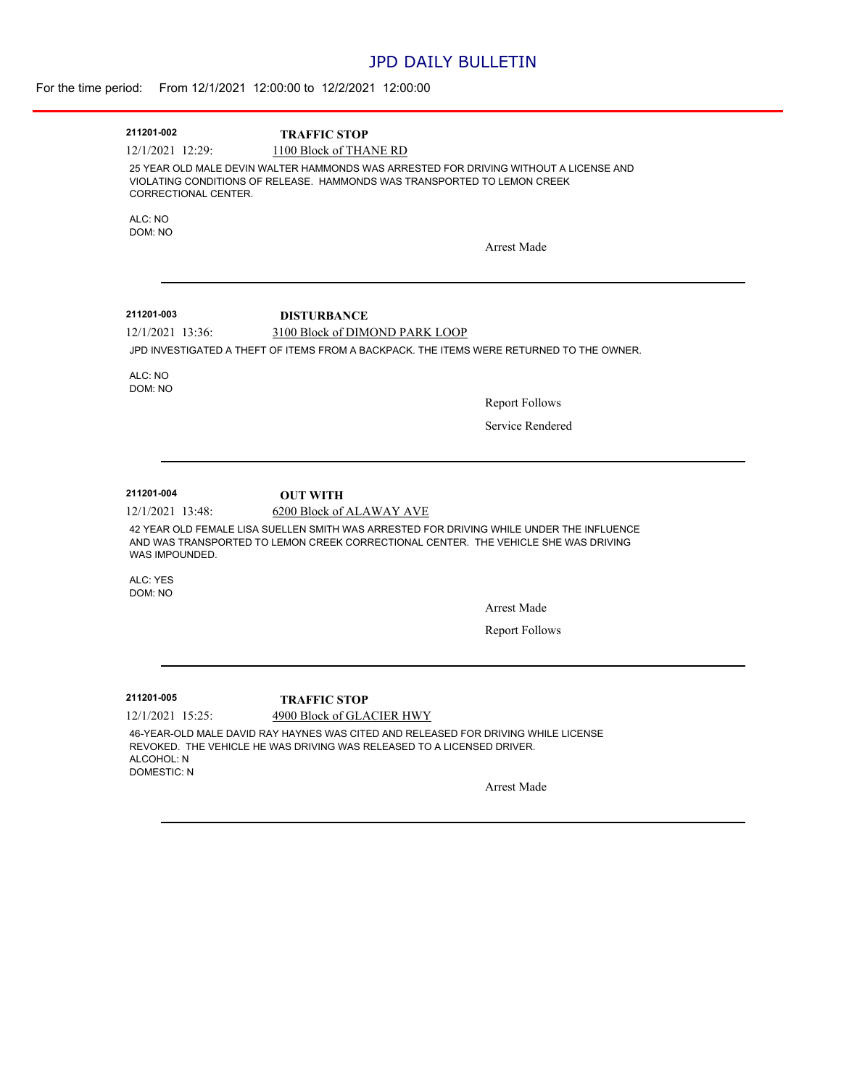## JPD DAILY BULLETIN

| 211201-002                                           | <b>TRAFFIC STOP</b>                                                                                                                                                                                         |
|------------------------------------------------------|-------------------------------------------------------------------------------------------------------------------------------------------------------------------------------------------------------------|
| 12/1/2021 12:29:                                     | 1100 Block of THANE RD                                                                                                                                                                                      |
| CORRECTIONAL CENTER.                                 | 25 YEAR OLD MALE DEVIN WALTER HAMMONDS WAS ARRESTED FOR DRIVING WITHOUT A LICENSE AND<br>VIOLATING CONDITIONS OF RELEASE. HAMMONDS WAS TRANSPORTED TO LEMON CREEK                                           |
| ALC: NO                                              |                                                                                                                                                                                                             |
| DOM: NO                                              |                                                                                                                                                                                                             |
|                                                      | Arrest Made                                                                                                                                                                                                 |
|                                                      |                                                                                                                                                                                                             |
| 211201-003<br>$12/1/2021$ 13:36:                     | <b>DISTURBANCE</b>                                                                                                                                                                                          |
|                                                      | 3100 Block of DIMOND PARK LOOP<br>JPD INVESTIGATED A THEFT OF ITEMS FROM A BACKPACK. THE ITEMS WERE RETURNED TO THE OWNER.                                                                                  |
|                                                      |                                                                                                                                                                                                             |
| ALC: NO<br>DOM: NO                                   |                                                                                                                                                                                                             |
|                                                      | <b>Report Follows</b>                                                                                                                                                                                       |
|                                                      | Service Rendered                                                                                                                                                                                            |
|                                                      |                                                                                                                                                                                                             |
|                                                      |                                                                                                                                                                                                             |
| 211201-004                                           | <b>OUT WITH</b>                                                                                                                                                                                             |
| 12/1/2021 13:48:<br>WAS IMPOUNDED.                   | 6200 Block of ALAWAY AVE<br>42 YEAR OLD FEMALE LISA SUELLEN SMITH WAS ARRESTED FOR DRIVING WHILE UNDER THE INFLUENCE<br>AND WAS TRANSPORTED TO LEMON CREEK CORRECTIONAL CENTER. THE VEHICLE SHE WAS DRIVING |
| ALC: YES<br>DOM: NO                                  |                                                                                                                                                                                                             |
|                                                      | <b>Arrest Made</b>                                                                                                                                                                                          |
|                                                      | <b>Report Follows</b>                                                                                                                                                                                       |
|                                                      |                                                                                                                                                                                                             |
| 211201-005                                           | <b>TRAFFIC STOP</b>                                                                                                                                                                                         |
| 12/1/2021 15:25:<br>ALCOHOL: N<br><b>DOMESTIC: N</b> | 4900 Block of GLACIER HWY<br>46-YEAR-OLD MALE DAVID RAY HAYNES WAS CITED AND RELEASED FOR DRIVING WHILE LICENSE<br>REVOKED. THE VEHICLE HE WAS DRIVING WAS RELEASED TO A LICENSED DRIVER.                   |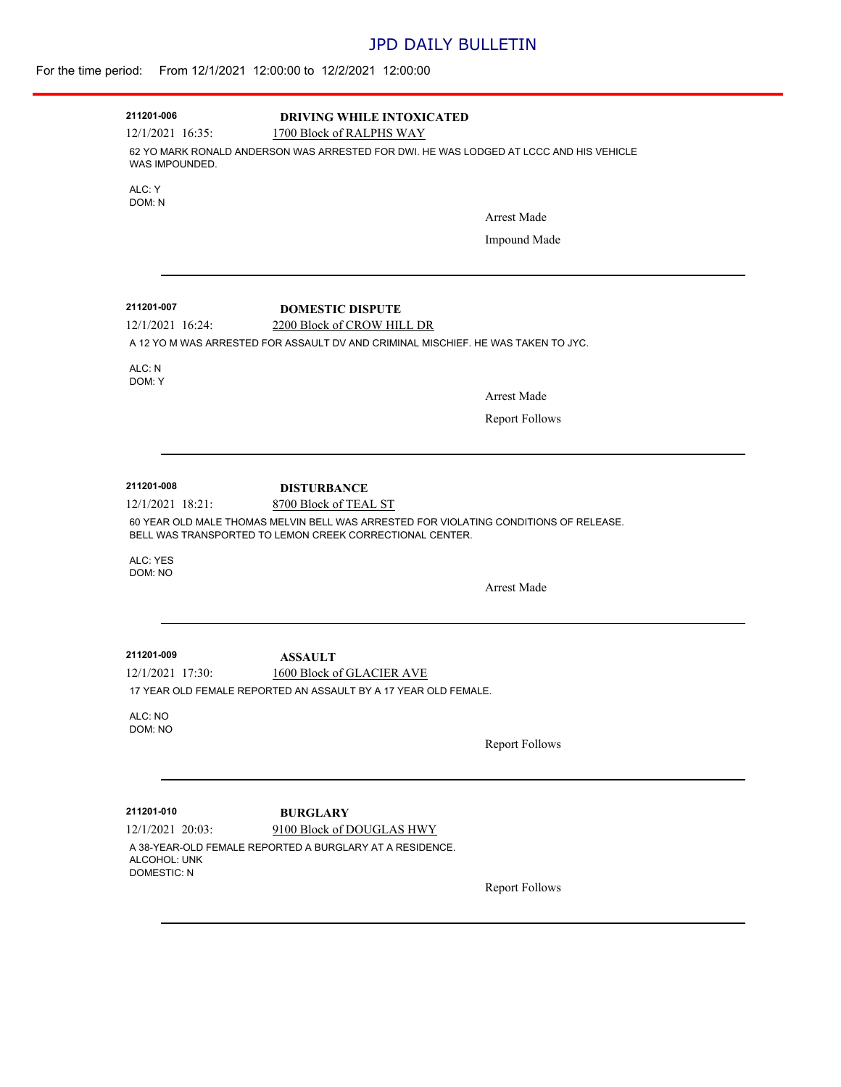# JPD DAILY BULLETIN

-

### For the time period: From 12/1/2021 12:00:00 to 12/2/2021 12:00:00

| 211201-006<br>$12/1/2021$ 16:35:        | <b>DRIVING WHILE INTOXICATED</b><br>1700 Block of RALPHS WAY                                                                                                               |                       |
|-----------------------------------------|----------------------------------------------------------------------------------------------------------------------------------------------------------------------------|-----------------------|
| WAS IMPOUNDED.                          | 62 YO MARK RONALD ANDERSON WAS ARRESTED FOR DWI. HE WAS LODGED AT LCCC AND HIS VEHICLE                                                                                     |                       |
| ALC: Y<br>DOM: N                        |                                                                                                                                                                            |                       |
|                                         |                                                                                                                                                                            | <b>Arrest Made</b>    |
|                                         |                                                                                                                                                                            | Impound Made          |
| 211201-007                              | <b>DOMESTIC DISPUTE</b>                                                                                                                                                    |                       |
| $12/1/2021$ 16:24:                      | 2200 Block of CROW HILL DR                                                                                                                                                 |                       |
|                                         | A 12 YO M WAS ARRESTED FOR ASSAULT DV AND CRIMINAL MISCHIEF. HE WAS TAKEN TO JYC.                                                                                          |                       |
| ALC: N<br>DOM: Y                        |                                                                                                                                                                            |                       |
|                                         |                                                                                                                                                                            | <b>Arrest Made</b>    |
|                                         |                                                                                                                                                                            | <b>Report Follows</b> |
| 211201-008                              | <b>DISTURBANCE</b>                                                                                                                                                         |                       |
| 12/1/2021 18:21:<br>ALC: YES<br>DOM: NO | 8700 Block of TEAL ST<br>60 YEAR OLD MALE THOMAS MELVIN BELL WAS ARRESTED FOR VIOLATING CONDITIONS OF RELEASE.<br>BELL WAS TRANSPORTED TO LEMON CREEK CORRECTIONAL CENTER. | <b>Arrest Made</b>    |
| 211201-009<br>12/1/2021 17:30:          | <b>ASSAULT</b><br>1600 Block of GLACIER AVE<br>17 YEAR OLD FEMALE REPORTED AN ASSAULT BY A 17 YEAR OLD FEMALE.                                                             |                       |
| ALC: NO<br>DOM: NO                      |                                                                                                                                                                            | <b>Report Follows</b> |
| 211201-010                              |                                                                                                                                                                            |                       |
| 12/1/2021 20:03:<br>ALCOHOL: UNK        | <b>BURGLARY</b><br>9100 Block of DOUGLAS HWY<br>A 38-YEAR-OLD FEMALE REPORTED A BURGLARY AT A RESIDENCE.                                                                   |                       |
| <b>DOMESTIC: N</b>                      |                                                                                                                                                                            | <b>Report Follows</b> |